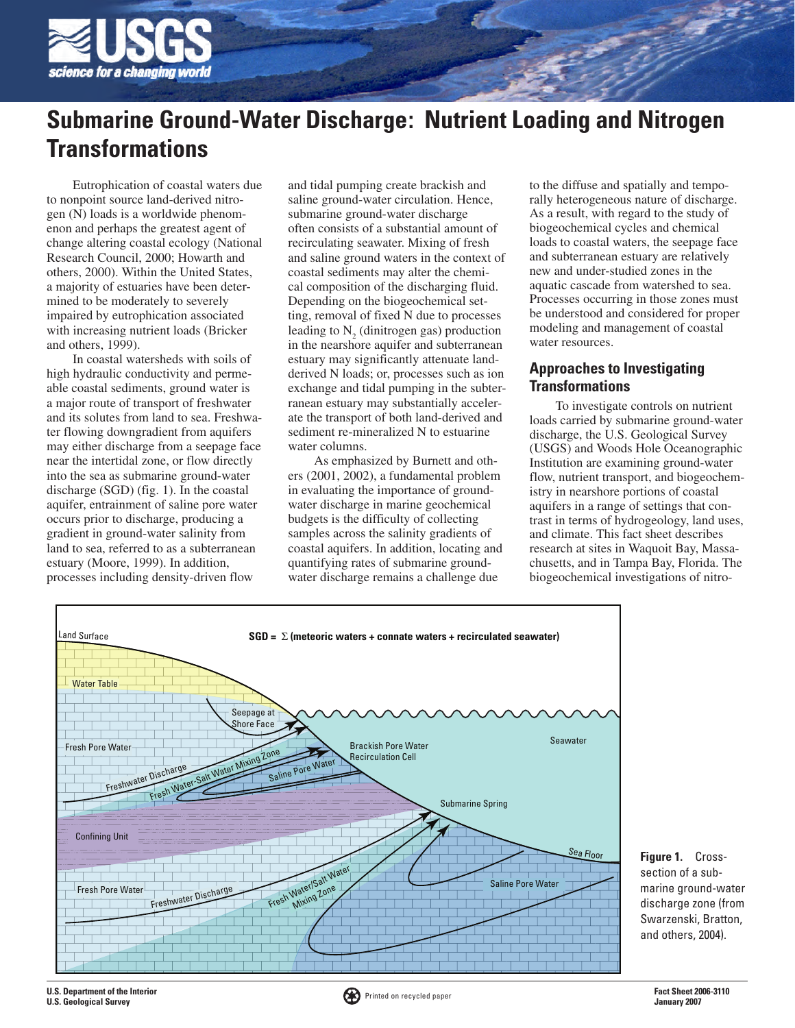

# **Submarine Ground-Water Discharge: Nutrient Loading and Nitrogen Transformations**

Eutrophication of coastal waters due to nonpoint source land-derived nitrogen (N) loads is a worldwide phenomenon and perhaps the greatest agent of change altering coastal ecology (National Research Council, 2000; Howarth and others, 2000). Within the United States, a majority of estuaries have been determined to be moderately to severely impaired by eutrophication associated with increasing nutrient loads (Bricker and others, 1999).

In coastal watersheds with soils of high hydraulic conductivity and permeable coastal sediments, ground water is a major route of transport of freshwater and its solutes from land to sea. Freshwater flowing downgradient from aquifers may either discharge from a seepage face near the intertidal zone, or flow directly into the sea as submarine ground-water discharge (SGD) (fig. 1). In the coastal aquifer, entrainment of saline pore water occurs prior to discharge, producing a gradient in ground-water salinity from land to sea, referred to as a subterranean estuary (Moore, 1999). In addition, processes including density-driven flow

and tidal pumping create brackish and saline ground-water circulation. Hence, submarine ground-water discharge often consists of a substantial amount of recirculating seawater. Mixing of fresh and saline ground waters in the context of coastal sediments may alter the chemical composition of the discharging fluid. Depending on the biogeochemical setting, removal of fixed N due to processes leading to  $N_2$  (dinitrogen gas) production in the nearshore aquifer and subterranean estuary may significantly attenuate landderived N loads; or, processes such as ion exchange and tidal pumping in the subterranean estuary may substantially accelerate the transport of both land-derived and sediment re-mineralized N to estuarine water columns.

As emphasized by Burnett and others (2001, 2002), a fundamental problem in evaluating the importance of groundwater discharge in marine geochemical budgets is the difficulty of collecting samples across the salinity gradients of coastal aquifers. In addition, locating and quantifying rates of submarine groundwater discharge remains a challenge due

to the diffuse and spatially and temporally heterogeneous nature of discharge. As a result, with regard to the study of biogeochemical cycles and chemical loads to coastal waters, the seepage face and subterranean estuary are relatively new and under-studied zones in the aquatic cascade from watershed to sea. Processes occurring in those zones must be understood and considered for proper modeling and management of coastal water resources.

# **Approaches to Investigating Transformations**

To investigate controls on nutrient loads carried by submarine ground-water discharge, the U.S. Geological Survey (USGS) and Woods Hole Oceanographic Institution are examining ground-water flow, nutrient transport, and biogeochemistry in nearshore portions of coastal aquifers in a range of settings that contrast in terms of hydrogeology, land uses, and climate. This fact sheet describes research at sites in Waquoit Bay, Massachusetts, and in Tampa Bay, Florida. The biogeochemical investigations of nitro-



**Figure 1.** Crosssection of a submarine ground-water discharge zone (from Swarzenski, Bratton, and others, 2004).

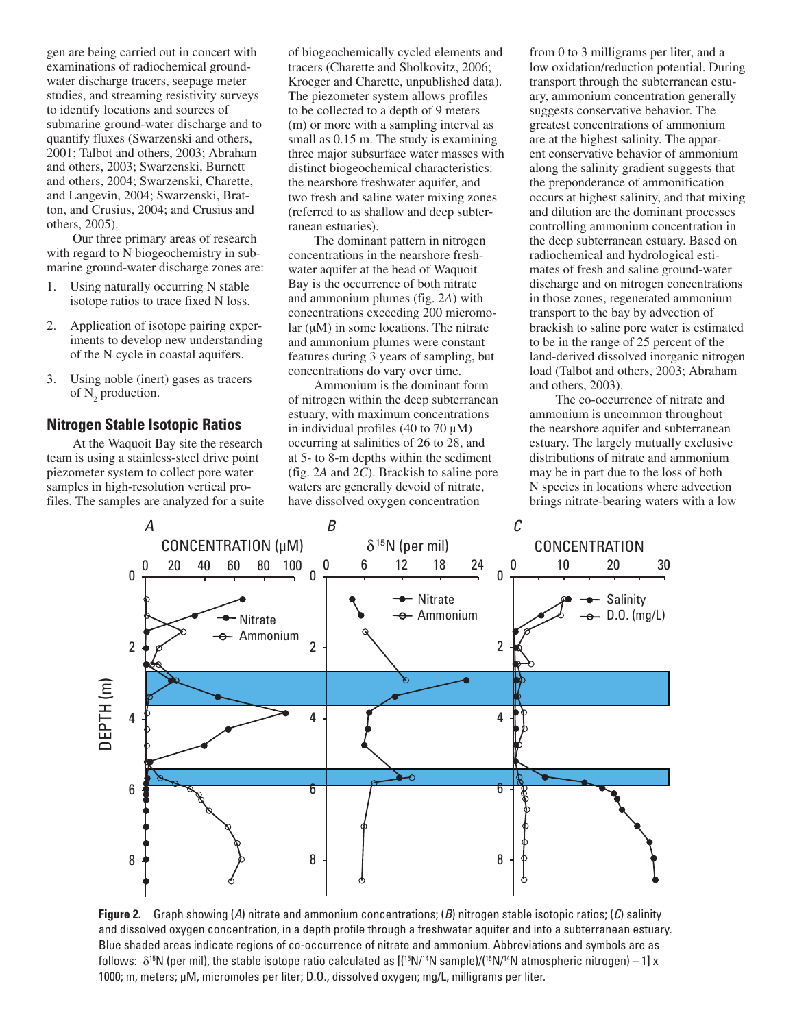gen are being carried out in concert with examinations of radiochemical groundwater discharge tracers, seepage meter studies, and streaming resistivity surveys to identify locations and sources of submarine ground-water discharge and to quantify fluxes (Swarzenski and others, 2001; Talbot and others, 2003; Abraham and others, 2003; Swarzenski, Burnett and others, 2004; Swarzenski, Charette, and Langevin, 2004; Swarzenski, Bratton, and Crusius, 2004; and Crusius and others, 2005).

Our three primary areas of research with regard to N biogeochemistry in submarine ground-water discharge zones are:

- Using naturally occurring N stable isotope ratios to trace fixed N loss. 1.
- Application of isotope pairing experiments to develop new understanding of the N cycle in coastal aquifers. 2.
- Using noble (inert) gases as tracers of  $N_2$  production. 3.

#### **Nitrogen Stable Isotopic Ratios**

At the Waquoit Bay site the research team is using a stainless-steel drive point piezometer system to collect pore water samples in high-resolution vertical profiles. The samples are analyzed for a suite of biogeochemically cycled elements and tracers (Charette and Sholkovitz, 2006; Kroeger and Charette, unpublished data). The piezometer system allows profiles to be collected to a depth of 9 meters (m) or more with a sampling interval as small as  $0.15$  m. The study is examining three major subsurface water masses with distinct biogeochemical characteristics: the nearshore freshwater aquifer, and two fresh and saline water mixing zones (referred to as shallow and deep subterranean estuaries).

The dominant pattern in nitrogen concentrations in the nearshore freshwater aquifer at the head of Waquoit Bay is the occurrence of both nitrate and ammonium plumes (fig. 2*A*) with concentrations exceeding 200 micromo $lar (uM)$  in some locations. The nitrate and ammonium plumes were constant features during 3 years of sampling, but concentrations do vary over time.

Ammonium is the dominant form of nitrogen within the deep subterranean estuary, with maximum concentrations in individual profiles  $(40 \text{ to } 70 \text{ µM})$ occurring at salinities of 26 to 28, and at 5- to 8-m depths within the sediment (fig. 2*A* and 2*C*). Brackish to saline pore waters are generally devoid of nitrate, have dissolved oxygen concentration

from 0 to 3 milligrams per liter, and a low oxidation/reduction potential. During transport through the subterranean estuary, ammonium concentration generally suggests conservative behavior. The greatest concentrations of ammonium are at the highest salinity. The apparent conservative behavior of ammonium along the salinity gradient suggests that the preponderance of ammonification occurs at highest salinity, and that mixing and dilution are the dominant processes controlling ammonium concentration in the deep subterranean estuary. Based on radiochemical and hydrological estimates of fresh and saline ground-water discharge and on nitrogen concentrations in those zones, regenerated ammonium transport to the bay by advection of brackish to saline pore water is estimated to be in the range of 25 percent of the land-derived dissolved inorganic nitrogen load (Talbot and others, 2003; Abraham and others, 2003).

The co-occurrence of nitrate and ammonium is uncommon throughout the nearshore aquifer and subterranean estuary. The largely mutually exclusive distributions of nitrate and ammonium may be in part due to the loss of both N species in locations where advection brings nitrate-bearing waters with a low



**Figure 2.** Graph showing (*A*) nitrate and ammonium concentrations; (*B*) nitrogen stable isotopic ratios; (*C*) salinity and dissolved oxygen concentration, in a depth profile through a freshwater aquifer and into a subterranean estuary. Blue shaded areas indicate regions of co-occurrence of nitrate and ammonium. Abbreviations and symbols are as follows:  $\delta^{15}$ N (per mil), the stable isotope ratio calculated as  $[(15N)^{14}N$  sample)/( $15N^{14}N$  atmospheric nitrogen) – 1] x 1000; m, meters; µM, micromoles per liter; D.O., dissolved oxygen; mg/L, milligrams per liter.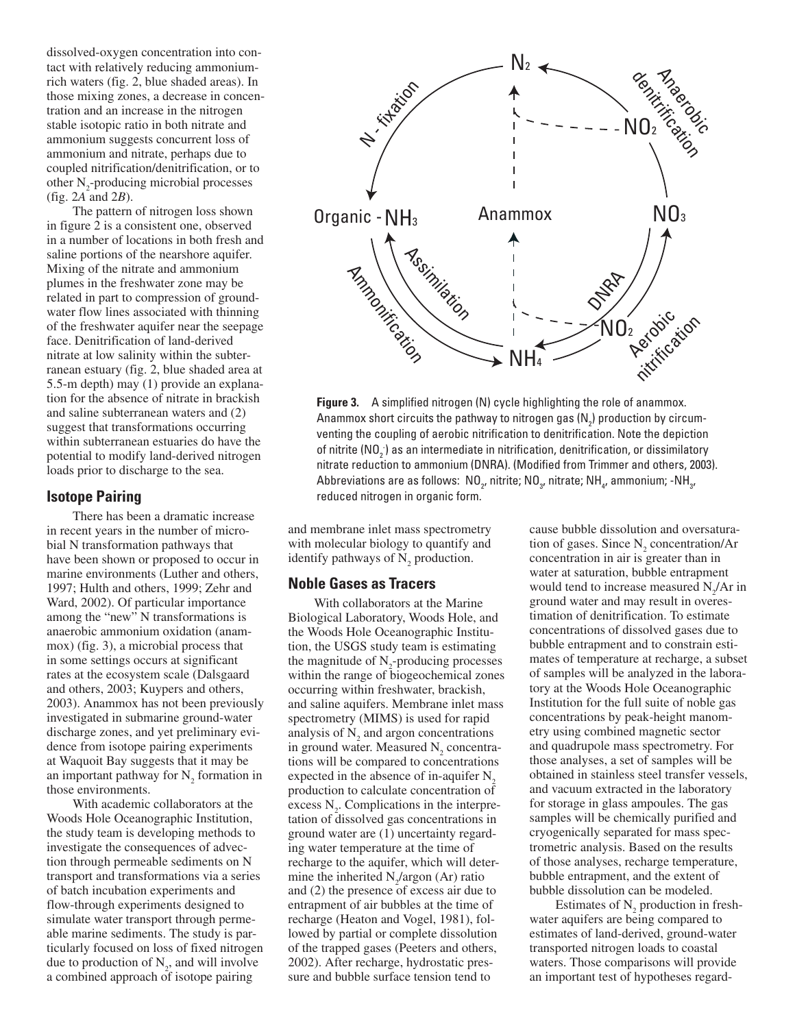dissolved-oxygen concentration into contact with relatively reducing ammoniumrich waters (fig. 2, blue shaded areas). In those mixing zones, a decrease in concentration and an increase in the nitrogen stable isotopic ratio in both nitrate and ammonium suggests concurrent loss of ammonium and nitrate, perhaps due to coupled nitrification/denitrification, or to other  $N_2$ -producing microbial processes (fig. 2*A* and 2*B*).

The pattern of nitrogen loss shown in figure 2 is a consistent one, observed in a number of locations in both fresh and saline portions of the nearshore aquifer. Mixing of the nitrate and ammonium plumes in the freshwater zone may be related in part to compression of groundwater flow lines associated with thinning of the freshwater aquifer near the seepage face. Denitrification of land-derived nitrate at low salinity within the subterranean estuary (fig. 2, blue shaded area at 5.5-m depth) may (1) provide an explanation for the absence of nitrate in brackish and saline subterranean waters and (2) suggest that transformations occurring within subterranean estuaries do have the potential to modify land-derived nitrogen loads prior to discharge to the sea.

#### **Isotope Pairing**

There has been a dramatic increase in recent years in the number of microbial N transformation pathways that have been shown or proposed to occur in marine environments (Luther and others, 1997; Hulth and others, 1999; Zehr and Ward, 2002). Of particular importance among the "new" N transformations is anaerobic ammonium oxidation (anammox) (fig. 3), a microbial process that in some settings occurs at significant rates at the ecosystem scale (Dalsgaard and others, 2003; Kuypers and others, 2003). Anammox has not been previously investigated in submarine ground-water discharge zones, and yet preliminary evidence from isotope pairing experiments at Waquoit Bay suggests that it may be an important pathway for  $N_2$  formation in those environments.

With academic collaborators at the Woods Hole Oceanographic Institution, the study team is developing methods to investigate the consequences of advection through permeable sediments on N transport and transformations via a series of batch incubation experiments and flow-through experiments designed to simulate water transport through permeable marine sediments. The study is particularly focused on loss of fixed nitrogen due to production of  $N_2$ , and will involve a combined approach of isotope pairing



**Figure 3.** A simplified nitrogen (N) cycle highlighting the role of anammox. Anammox short circuits the pathway to nitrogen gas (N $_{2}$ ) production by circumventing the coupling of aerobic nitrification to denitrification. Note the depiction of nitrite (NO $_2^{\cdot}$ ) as an intermediate in nitrification, denitrification, or dissimilatory nitrate reduction to ammonium (DNRA). (Modified from Trimmer and others, 2003). Abbreviations are as follows:  $\,{\sf NO}_{_{2'}}$  nitrite;  ${\sf NO}_{_{3'}}$  nitrate;  ${\sf NH}_{_{4'}}$  ammonium; - ${\sf NH}_{_{3'}}$ reduced nitrogen in organic form.

and membrane inlet mass spectrometry with molecular biology to quantify and identify pathways of  $N_2$  production.

#### **Noble Gases as Tracers**

With collaborators at the Marine Biological Laboratory, Woods Hole, and the Woods Hole Oceanographic Institution, the USGS study team is estimating the magnitude of  $N_2$ -producing processes within the range of biogeochemical zones occurring within freshwater, brackish, and saline aquifers. Membrane inlet mass spectrometry (MIMS) is used for rapid analysis of  $N_2$  and argon concentrations in ground water. Measured  $N_2$  concentrations will be compared to concentrations expected in the absence of in-aquifer  $N<sub>2</sub>$ production to calculate concentration of excess  $N_2$ . Complications in the interpretation of dissolved gas concentrations in ground water are (1) uncertainty regarding water temperature at the time of recharge to the aquifer, which will determine the inherited  $N_2$ /argon (Ar) ratio and (2) the presence of excess air due to entrapment of air bubbles at the time of recharge (Heaton and Vogel, 1981), followed by partial or complete dissolution of the trapped gases (Peeters and others, 2002). After recharge, hydrostatic pressure and bubble surface tension tend to

cause bubble dissolution and oversaturation of gases. Since  $N_2$  concentration/Ar concentration in air is greater than in water at saturation, bubble entrapment would tend to increase measured  $N_2/Ar$  in ground water and may result in overestimation of denitrification. To estimate concentrations of dissolved gases due to bubble entrapment and to constrain estimates of temperature at recharge, a subset of samples will be analyzed in the laboratory at the Woods Hole Oceanographic Institution for the full suite of noble gas concentrations by peak-height manometry using combined magnetic sector and quadrupole mass spectrometry. For those analyses, a set of samples will be obtained in stainless steel transfer vessels, and vacuum extracted in the laboratory for storage in glass ampoules. The gas samples will be chemically purified and cryogenically separated for mass spectrometric analysis. Based on the results of those analyses, recharge temperature, bubble entrapment, and the extent of bubble dissolution can be modeled.

Estimates of  $N_2$  production in freshwater aquifers are being compared to estimates of land-derived, ground-water transported nitrogen loads to coastal waters. Those comparisons will provide an important test of hypotheses regard